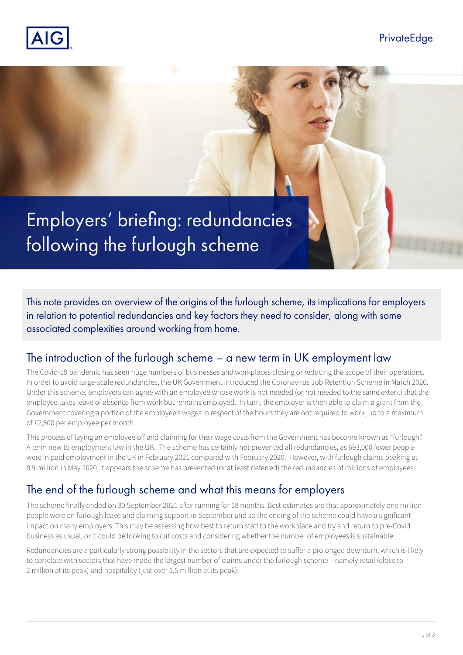

Employers' briefing: redundancies following the furlough scheme

This note provides an overview of the origins of the furlough scheme, its implications for employers in relation to potential redundancies and key factors they need to consider, along with some associated complexities around working from home.

### The introduction of the furlough scheme – a new term in UK employment law

The Covid-19 pandemic has seen huge numbers of businesses and workplaces closing or reducing the scope of their operations. In order to avoid large-scale redundancies, the UK Government introduced the Coronavirus Job Retention Scheme in March 2020. Under this scheme, employers can agree with an employee whose work is not needed (or not needed to the same extent) that the employee takes leave of absence from work but remains employed. In turn, the employer is then able to claim a grant from the Government covering a portion of the employee's wages in respect of the hours they are not required to work, up to a maximum of £2,500 per employee per month.

This process of laying an employee off and claiming for their wage costs from the Government has become known as "furlough". A term new to employment law in the UK. The scheme has certainly not prevented all redundancies, as 693,000 fewer people were in paid employment in the UK in February 2021 compared with February 2020. However, with furlough claims peaking at 8.9 million in May 2020, it appears the scheme has prevented (or at least deferred) the redundancies of millions of employees.

# The end of the furlough scheme and what this means for employers

The scheme finally ended on 30 September 2021 after running for 18 months. Best estimates are that approximately one million people were on furlough leave and claiming support in September and so the ending of the scheme could have a significant impact on many employers. This may be assessing how best to return staff to the workplace and try and return to pre-Covid business as usual, or it could be looking to cut costs and considering whether the number of employees is sustainable.

Redundancies are a particularly strong possibility in the sectors that are expected to suffer a prolonged downturn, which is likely to correlate with sectors that have made the largest number of claims under the furlough scheme – namely retail (close to 2 million at its peak) and hospitality (just over 1.5 million at its peak).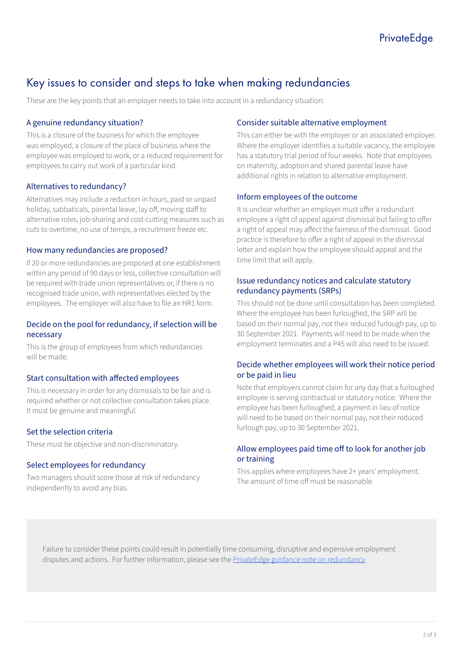# Key issues to consider and steps to take when making redundancies

These are the key points that an employer needs to take into account in a redundancy situation:

#### A genuine redundancy situation?

This is a closure of the business for which the employee was employed, a closure of the place of business where the employee was employed to work, or a reduced requirement for employees to carry out work of a particular kind.

#### Alternatives to redundancy?

Alternatives may include a reduction in hours, paid or unpaid holiday, sabbaticals, parental leave, lay off, moving staff to alternative roles, job-sharing and cost-cutting measures such as cuts to overtime, no use of temps, a recruitment freeze etc.

#### How many redundancies are proposed?

If 20 or more redundancies are proposed at one establishment within any period of 90 days or less, collective consultation will be required with trade union representatives or, if there is no recognised trade union, with representatives elected by the employees. The employer will also have to file an HR1 form.

#### Decide on the pool for redundancy, if selection will be necessary

This is the group of employees from which redundancies will be made.

#### Start consultation with affected employees

This is necessary in order for any dismissals to be fair and is required whether or not collective consultation takes place. It must be genuine and meaningful.

#### Set the selection criteria

These must be objective and non-discriminatory.

#### Select employees for redundancy

Two managers should score those at risk of redundancy independently to avoid any bias.

#### Consider suitable alternative employment

This can either be with the employer or an associated employer. Where the employer identifies a suitable vacancy, the employee has a statutory trial period of four weeks. Note that employees on maternity, adoption and shared parental leave have additional rights in relation to alternative employment.

#### Inform employees of the outcome

It is unclear whether an employer must offer a redundant employee a right of appeal against dismissal but failing to offer a right of appeal may affect the fairness of the dismissal. Good practice is therefore to offer a right of appeal in the dismissal letter and explain how the employee should appeal and the time limit that will apply.

#### Issue redundancy notices and calculate statutory redundancy payments (SRPs)

This should not be done until consultation has been completed. Where the employee has been furloughed, the SRP will be based on their normal pay, not their reduced furlough pay, up to 30 September 2021. Payments will need to be made when the employment terminates and a P45 will also need to be issued.

#### Decide whether employees will work their notice period or be paid in lieu

Note that employers cannot claim for any day that a furloughed employee is serving contractual or statutory notice. Where the employee has been furloughed, a payment in lieu of notice will need to be based on their normal pay, not their reduced furlough pay, up to 30 September 2021.

#### Allow employees paid time off to look for another job or training

This applies where employees have 2+ years' employment. The amount of time off must be reasonable.

Failure to consider these points could result in potentially time consuming, disruptive and expensive employment disputes and actions. For further information, please see the [PrivateEdge guidance note on redundancy](https://www.aig.co.uk/business-insurance/innovative-products/financial-lines/privateedge-product/privateedge/epl/handling-redundancies).